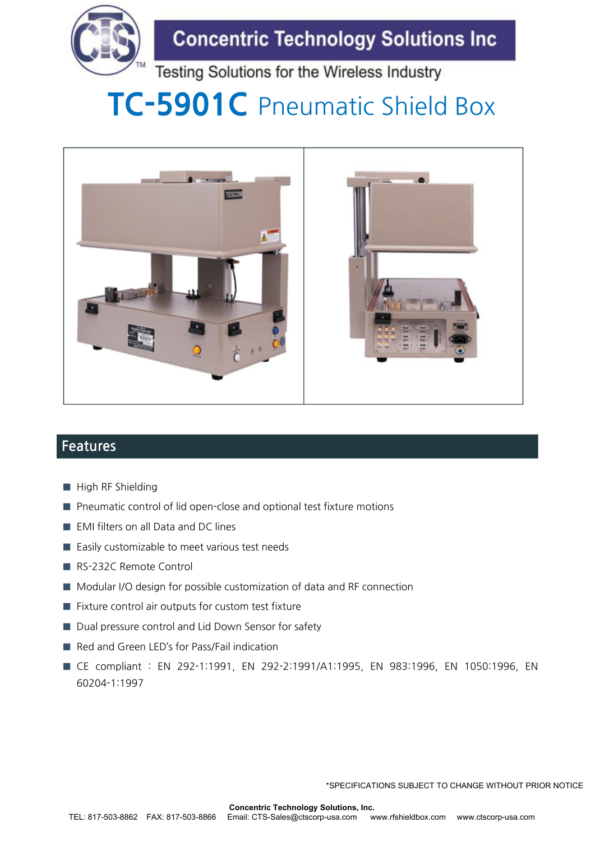

## **Concentric Technology Solutions Inc**

Testing Solutions for the Wireless Industry

# **TC-5901C** Pneumatic Shield Box



### **Features**

- **■** High RF Shielding
- Pneumatic control of lid open-close and optional test fixture motions
- EMI filters on all Data and DC lines
- Easily customizable to meet various test needs
- RS-232C Remote Control
- Modular I/O design for possible customization of data and RF connection
- Fixture control air outputs for custom test fixture
- Dual pressure control and Lid Down Sensor for safety
- Red and Green LED's for Pass/Fail indication
- **■** CE compliant : EN 292-1:1991, EN 292-2:1991/A1:1995, EN 983:1996, EN 1050:1996, EN 60204-1:1997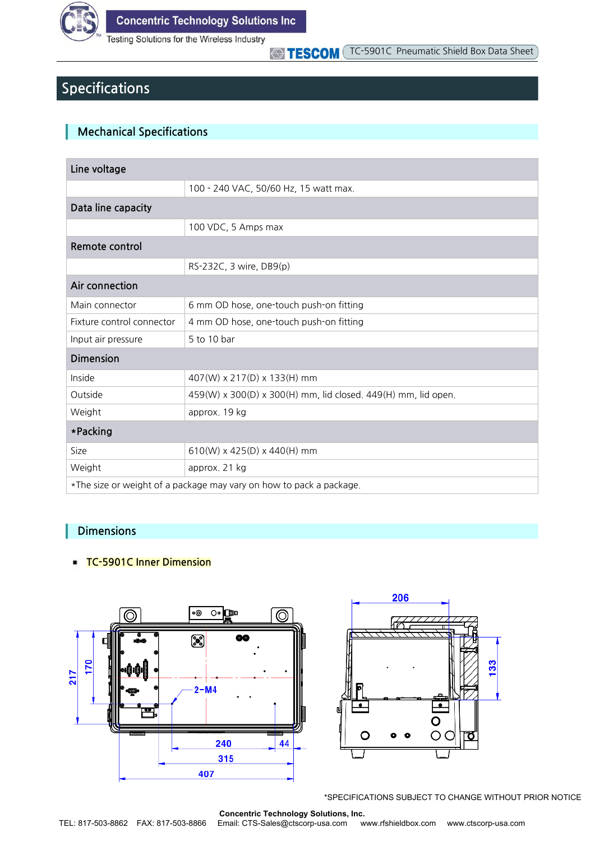

Testing Solutions for the Wireless Industry

TESCOM TC-5901C Pneumatic Shield Box Data Sheet

## **Specifications**

#### **Mechanical Specifications**

| Line voltage                                                        |                                                               |  |  |  |
|---------------------------------------------------------------------|---------------------------------------------------------------|--|--|--|
|                                                                     | 100 - 240 VAC, 50/60 Hz, 15 watt max.                         |  |  |  |
| Data line capacity                                                  |                                                               |  |  |  |
|                                                                     | 100 VDC, 5 Amps max                                           |  |  |  |
| Remote control                                                      |                                                               |  |  |  |
|                                                                     | RS-232C, 3 wire, DB9(p)                                       |  |  |  |
| Air connection                                                      |                                                               |  |  |  |
| Main connector                                                      | 6 mm OD hose, one-touch push-on fitting                       |  |  |  |
| Fixture control connector                                           | 4 mm OD hose, one-touch push-on fitting                       |  |  |  |
| Input air pressure                                                  | 5 to 10 bar                                                   |  |  |  |
| <b>Dimension</b>                                                    |                                                               |  |  |  |
| Inside                                                              | 407(W) x 217(D) x 133(H) mm                                   |  |  |  |
| Outside                                                             | 459(W) x 300(D) x 300(H) mm, lid closed. 449(H) mm, lid open. |  |  |  |
| Weight                                                              | approx. 19 kg                                                 |  |  |  |
| *Packing                                                            |                                                               |  |  |  |
| Size                                                                | $610(W)$ x 425(D) x 440(H) mm                                 |  |  |  |
| Weight                                                              | approx. 21 kg                                                 |  |  |  |
| *The size or weight of a package may vary on how to pack a package. |                                                               |  |  |  |

#### **Dimensions**

#### **TC-5901C Inner Dimension**



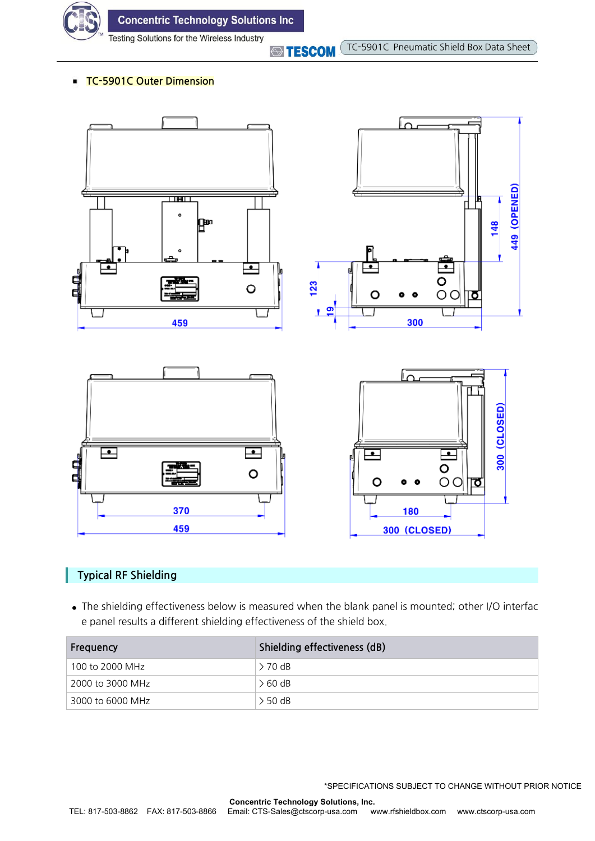

**Concentric Technology Solutions Inc** 

Testing Solutions for the Wireless Industry

**STESCOM** 

#### **TC-5901C Outer Dimension**



#### **Typical RF Shielding**

**●** The shielding effectiveness below is measured when the blank panel is mounted; other I/O interfac e panel results a different shielding effectiveness of the shield box.

| Frequency        | Shielding effectiveness (dB) |
|------------------|------------------------------|
| 100 to 2000 MHz  | $> 70$ dB                    |
| 2000 to 3000 MHz | $\geq 60$ dB                 |
| 3000 to 6000 MHz | $>$ 50 dB                    |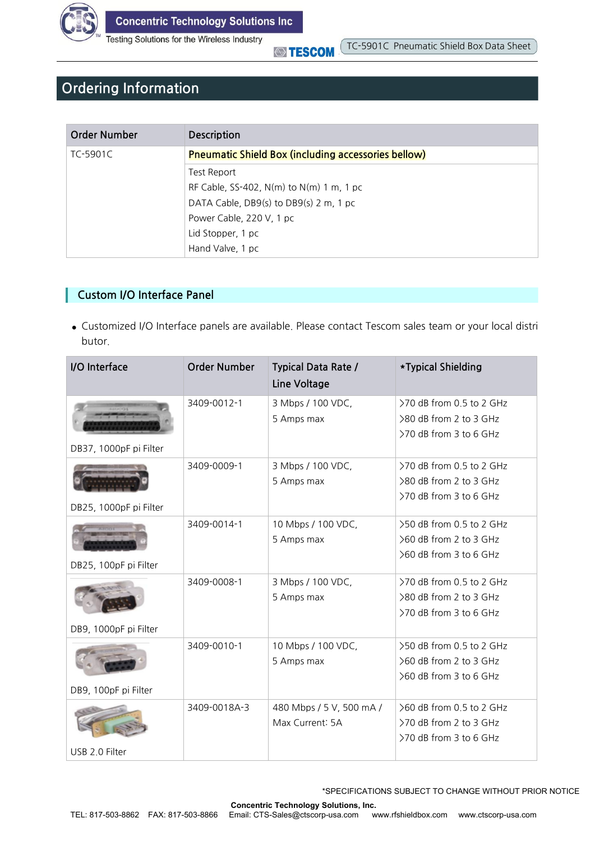

Testing Solutions for the Wireless Industry

**STESCOM** 

## **Ordering Information**

| Order Number | <b>Description</b>                                         |
|--------------|------------------------------------------------------------|
| TC-5901C     | <b>Pneumatic Shield Box (including accessories bellow)</b> |
|              | Test Report                                                |
|              | RF Cable, SS-402, N(m) to N(m) 1 m, 1 pc                   |
|              | DATA Cable, DB9(s) to DB9(s) 2 m, 1 pc                     |
|              | Power Cable, 220 V, 1 pc                                   |
|              | Lid Stopper, 1 pc                                          |
|              | Hand Valve, 1 pc                                           |

#### **Custom I/O Interface Panel**

**●** Customized I/O Interface panels are available. Please contact Tescom sales team or your local distri butor.

| I/O Interface          | <b>Order Number</b> | <b>Typical Data Rate /</b><br>Line Voltage | *Typical Shielding                               |
|------------------------|---------------------|--------------------------------------------|--------------------------------------------------|
|                        | 3409-0012-1         | 3 Mbps / 100 VDC,                          | >70 dB from 0.5 to 2 GHz                         |
|                        |                     | 5 Amps max                                 | >80 dB from 2 to 3 GHz<br>>70 dB from 3 to 6 GHz |
| DB37, 1000pF pi Filter |                     |                                            |                                                  |
|                        | 3409-0009-1         | 3 Mbps / 100 VDC,                          | >70 dB from 0.5 to 2 GHz                         |
|                        |                     | 5 Amps max                                 | >80 dB from 2 to 3 GHz                           |
| DB25, 1000pF pi Filter |                     |                                            | >70 dB from 3 to 6 GHz                           |
|                        | 3409-0014-1         | 10 Mbps / 100 VDC,                         | >50 dB from 0.5 to 2 GHz                         |
|                        |                     | 5 Amps max                                 | >60 dB from 2 to 3 GHz                           |
| DB25, 100pF pi Filter  |                     |                                            | >60 dB from 3 to 6 GHz                           |
|                        | 3409-0008-1         | 3 Mbps / 100 VDC,                          | >70 dB from 0.5 to 2 GHz                         |
|                        |                     | 5 Amps max                                 | >80 dB from 2 to 3 GHz                           |
|                        |                     |                                            | >70 dB from 3 to 6 GHz                           |
| DB9, 1000pF pi Filter  |                     |                                            |                                                  |
|                        | 3409-0010-1         | 10 Mbps / 100 VDC,                         | >50 dB from 0.5 to 2 GHz                         |
|                        |                     | 5 Amps max                                 | >60 dB from 2 to 3 GHz                           |
|                        |                     |                                            | >60 dB from 3 to 6 GHz                           |
| DB9, 100pF pi Filter   |                     |                                            |                                                  |
|                        | 3409-0018A-3        | 480 Mbps / 5 V, 500 mA /                   | >60 dB from 0.5 to 2 GHz                         |
|                        |                     | Max Current: 5A                            | >70 dB from 2 to 3 GHz                           |
|                        |                     |                                            | >70 dB from 3 to 6 GHz                           |
| USB 2.0 Filter         |                     |                                            |                                                  |